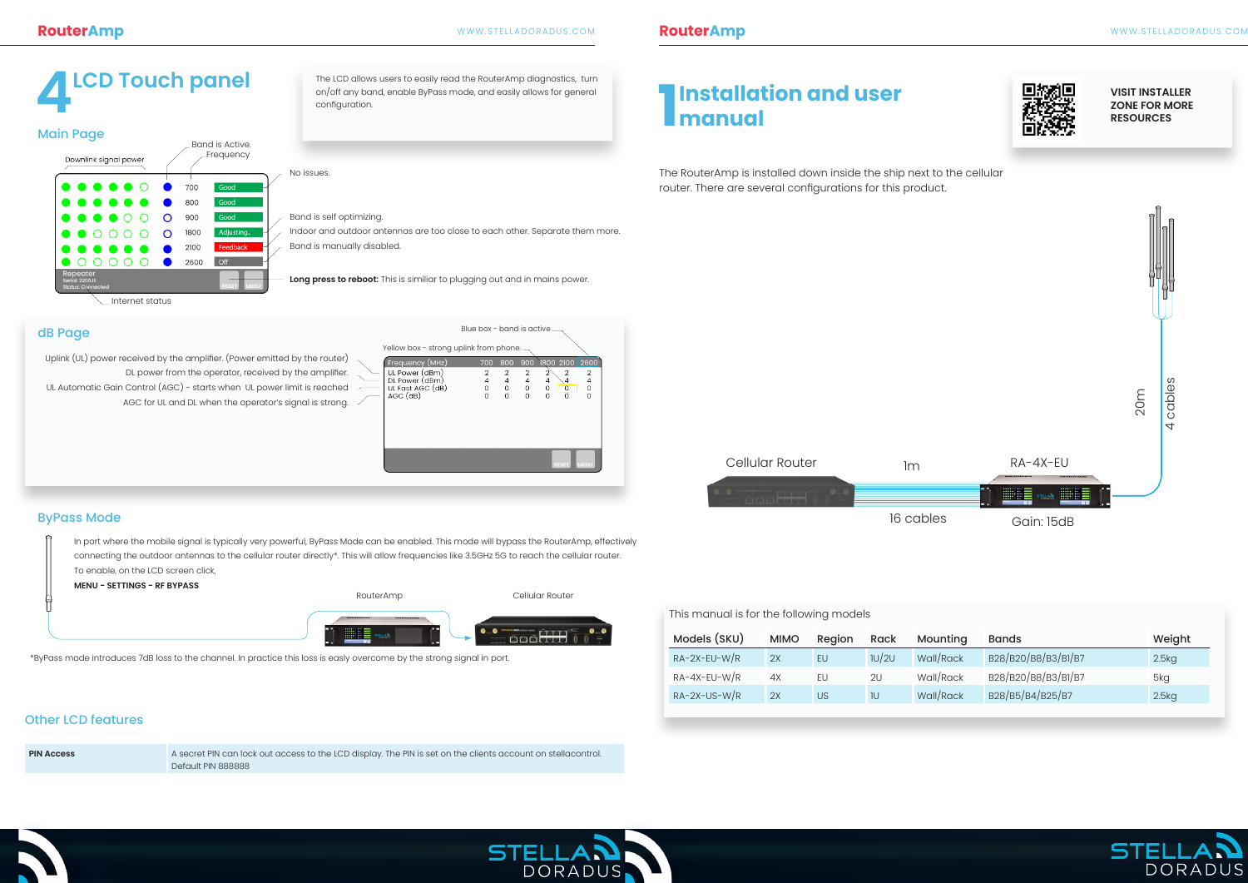#### This manual is for the following models

The RouterAmp is installed down inside the ship next to the cellular

router. There are several configurations for this product.



Blue box - band is active

The LCD allows users to easily read the RouterAmp diagnostics, turn on/off any band, enable ByPass mode, and easily allows for general configuration.

#### dB Page

#### ByPass Mode

# **4LCD Touch panel 1**

**Installation and user** 

**manual**

| <u>monium privile in the idea is in the internal design</u> |             |           |       |           |                     |        |
|-------------------------------------------------------------|-------------|-----------|-------|-----------|---------------------|--------|
| Models (SKU)                                                | <b>MIMO</b> | Region    | Rack  | Mounting  | <b>Bands</b>        | Weight |
| $RA-2X-EU-W/R$                                              | 2X          | EU        | 1U/2U | Wall/Rack | B28/B20/B8/B3/B1/B7 | 2.5kg  |
| $RA-4X-EU-W/R$                                              | 4X          | EU        | 2U    | Wall/Rack | B28/B20/B8/B3/B1/B7 | 5kg    |
| $RA-2X-US-W/R$                                              | 2X          | <b>US</b> | 1U    | Wall/Rack | B28/B5/B4/B25/B7    | 2.5kg  |

| <b>Main Page</b>                                       |  |                 |          |      |                                     |                                                                              |
|--------------------------------------------------------|--|-----------------|----------|------|-------------------------------------|------------------------------------------------------------------------------|
| Downlink signal power                                  |  |                 |          |      | Band is Active.<br><b>Frequency</b> | No issues.                                                                   |
| $\bullet$ $\bullet$ $\bullet$ $\bullet$ $\circ$        |  |                 |          | 700  | Good                                |                                                                              |
| .                                                      |  |                 |          | 800  | Good                                |                                                                              |
| $\bullet$ $\bullet$ $\bullet$ $\circ$ $\circ$          |  |                 | $\Omega$ | 900  | Good                                | Band is self optimizing.                                                     |
| $\bullet$ $\circ$ $\circ$                              |  |                 | $\Omega$ | 1800 | Adjusting                           | Indoor and outdoor antennas are too close to each other. Separate them more. |
| .                                                      |  |                 |          | 2100 | Feedback                            | Band is manually disabled.                                                   |
|                                                        |  |                 |          | 2600 | <b>Off</b>                          |                                                                              |
| Repeater<br>Serial: 2200JE<br><b>Status: Connected</b> |  |                 |          |      | <b>IMENU</b><br><b>ESET</b>         | Long press to reboot: This is similiar to plugging out and in mains power.   |
|                                                        |  | Internet status |          |      |                                     |                                                                              |

#### **VISIT INSTALLER ZONE FOR MORE RESOURCES**

Uplink (UL) power received by the amplifier. (Power emitted by the router) DL power from the operator, received by the amplifier. UL Automatic Gain Control (AGC) - starts when UL power limit is reached AGC for UL and DL when the operator's signal is strong.  $\angle$ 

In port where the mobile signal is typically very powerful, ByPass Mode can be enabled. This mode will bypass the RouterAmp, effectively connecting the outdoor antennas to the cellular router directly\*. This will allow frequencies like 3.5GHz 5G to reach the cellular router. To enable, on the LCD screen click,

**MENU - SETTINGS - RF BYPASS**

\*ByPass mode introduces 7dB loss to the channel. In practice this loss is easly overcome by the strong signal in port.



Internet status

| 700         | 800              |                               |                                                          |                         |
|-------------|------------------|-------------------------------|----------------------------------------------------------|-------------------------|
| 4<br>0<br>O | 2<br>4<br>0<br>O | $\overline{2}$<br>4<br>0<br>O | $\overline{2}$<br>2<br>4<br>4<br>0<br>0<br>$\Omega$<br>O | 2<br>4<br>0<br>$\Omega$ |
|             |                  |                               | <b>RESET</b>                                             | <b>MENU</b>             |
|             |                  |                               | Yellow box - strong uplink from phone.                   | 900 1800 2100 2600      |

#### Other LCD features

**PIN Access** A secret PIN can lock out access to the LCD display. The PIN is set on the clients account on stellacontrol. Default PIN 888888